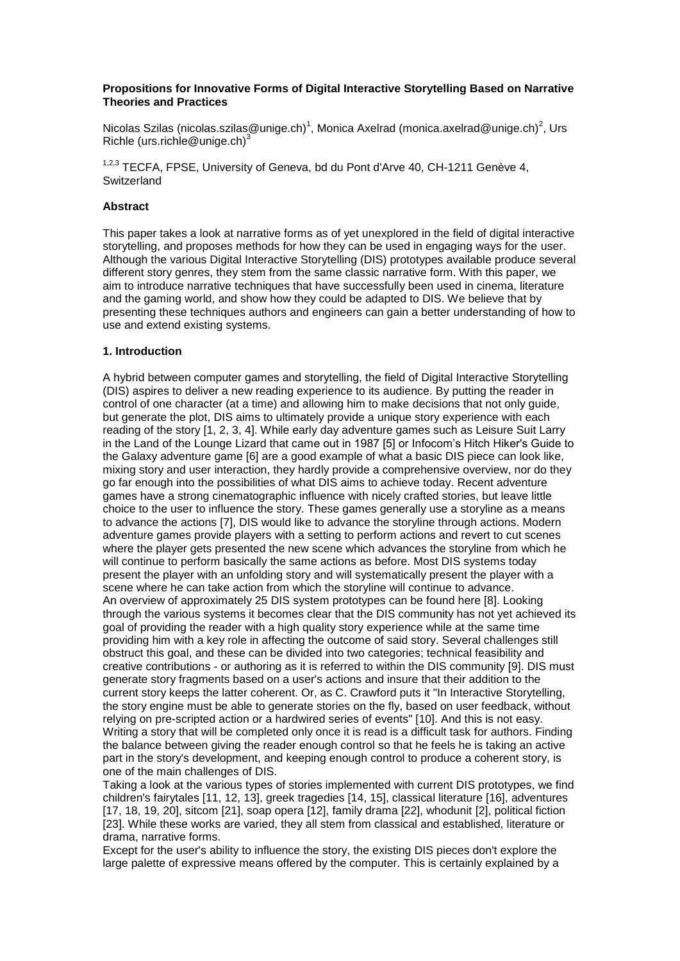### **Propositions for Innovative Forms of Digital Interactive Storytelling Based on Narrative Theories and Practices**

Nicolas Szilas (nicolas.szilas@unige.ch) $^1$ , Monica Axelrad (monica.axelrad@unige.ch) $^2$ , Urs Richle (urs.richle@unige.ch) $3$ 

<sup>1,2,3</sup> TECFA. FPSE. University of Geneva, bd du Pont d'Arve 40, CH-1211 Genève 4, **Switzerland** 

### **Abstract**

This paper takes a look at narrative forms as of yet unexplored in the field of digital interactive storytelling, and proposes methods for how they can be used in engaging ways for the user. Although the various Digital Interactive Storytelling (DIS) prototypes available produce several different story genres, they stem from the same classic narrative form. With this paper, we aim to introduce narrative techniques that have successfully been used in cinema, literature and the gaming world, and show how they could be adapted to DIS. We believe that by presenting these techniques authors and engineers can gain a better understanding of how to use and extend existing systems.

#### **1. Introduction**

A hybrid between computer games and storytelling, the field of Digital Interactive Storytelling (DIS) aspires to deliver a new reading experience to its audience. By putting the reader in control of one character (at a time) and allowing him to make decisions that not only guide, but generate the plot, DIS aims to ultimately provide a unique story experience with each reading of the story [1, 2, 3, 4]. While early day adventure games such as Leisure Suit Larry in the Land of the Lounge Lizard that came out in 1987 [5] or Infocom's Hitch Hiker's Guide to the Galaxy adventure game [6] are a good example of what a basic DIS piece can look like, mixing story and user interaction, they hardly provide a comprehensive overview, nor do they go far enough into the possibilities of what DIS aims to achieve today. Recent adventure games have a strong cinematographic influence with nicely crafted stories, but leave little choice to the user to influence the story. These games generally use a storyline as a means to advance the actions [7], DIS would like to advance the storyline through actions. Modern adventure games provide players with a setting to perform actions and revert to cut scenes where the player gets presented the new scene which advances the storyline from which he will continue to perform basically the same actions as before. Most DIS systems today present the player with an unfolding story and will systematically present the player with a scene where he can take action from which the storyline will continue to advance. An overview of approximately 25 DIS system prototypes can be found here [8]. Looking through the various systems it becomes clear that the DIS community has not yet achieved its goal of providing the reader with a high quality story experience while at the same time providing him with a key role in affecting the outcome of said story. Several challenges still obstruct this goal, and these can be divided into two categories; technical feasibility and creative contributions - or authoring as it is referred to within the DIS community [9]. DIS must generate story fragments based on a user's actions and insure that their addition to the current story keeps the latter coherent. Or, as C. Crawford puts it "In Interactive Storytelling, the story engine must be able to generate stories on the fly, based on user feedback, without relying on pre-scripted action or a hardwired series of events" [10]. And this is not easy. Writing a story that will be completed only once it is read is a difficult task for authors. Finding the balance between giving the reader enough control so that he feels he is taking an active part in the story's development, and keeping enough control to produce a coherent story, is one of the main challenges of DIS.

Taking a look at the various types of stories implemented with current DIS prototypes, we find children's fairytales [11, 12, 13], greek tragedies [14, 15], classical literature [16], adventures [17, 18, 19, 20], sitcom [21], soap opera [12], family drama [22], whodunit [2], political fiction [23]. While these works are varied, they all stem from classical and established, literature or drama, narrative forms.

Except for the user's ability to influence the story, the existing DIS pieces don't explore the large palette of expressive means offered by the computer. This is certainly explained by a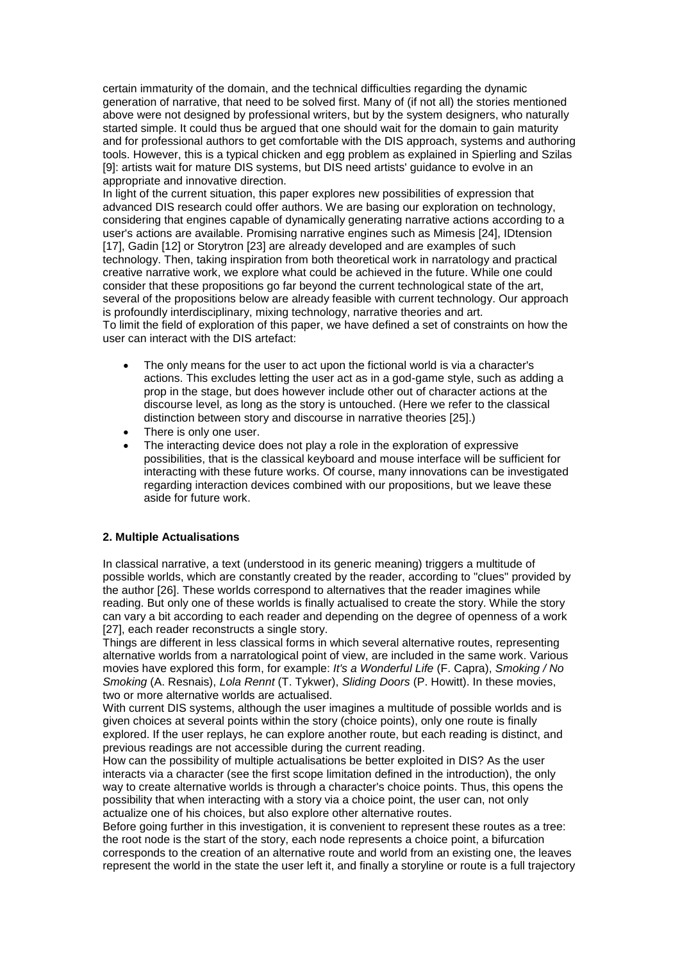certain immaturity of the domain, and the technical difficulties regarding the dynamic generation of narrative, that need to be solved first. Many of (if not all) the stories mentioned above were not designed by professional writers, but by the system designers, who naturally started simple. It could thus be argued that one should wait for the domain to gain maturity and for professional authors to get comfortable with the DIS approach, systems and authoring tools. However, this is a typical chicken and egg problem as explained in Spierling and Szilas [9]: artists wait for mature DIS systems, but DIS need artists' guidance to evolve in an appropriate and innovative direction.

In light of the current situation, this paper explores new possibilities of expression that advanced DIS research could offer authors. We are basing our exploration on technology, considering that engines capable of dynamically generating narrative actions according to a user's actions are available. Promising narrative engines such as Mimesis [24], IDtension [17], Gadin [12] or Storytron [23] are already developed and are examples of such technology. Then, taking inspiration from both theoretical work in narratology and practical creative narrative work, we explore what could be achieved in the future. While one could consider that these propositions go far beyond the current technological state of the art, several of the propositions below are already feasible with current technology. Our approach is profoundly interdisciplinary, mixing technology, narrative theories and art. To limit the field of exploration of this paper, we have defined a set of constraints on how the user can interact with the DIS artefact:

- The only means for the user to act upon the fictional world is via a character's actions. This excludes letting the user act as in a god-game style, such as adding a prop in the stage, but does however include other out of character actions at the discourse level, as long as the story is untouched. (Here we refer to the classical distinction between story and discourse in narrative theories [25].)
- There is only one user.
- The interacting device does not play a role in the exploration of expressive possibilities, that is the classical keyboard and mouse interface will be sufficient for interacting with these future works. Of course, many innovations can be investigated regarding interaction devices combined with our propositions, but we leave these aside for future work.

## **2. Multiple Actualisations**

In classical narrative, a text (understood in its generic meaning) triggers a multitude of possible worlds, which are constantly created by the reader, according to "clues" provided by the author [26]. These worlds correspond to alternatives that the reader imagines while reading. But only one of these worlds is finally actualised to create the story. While the story can vary a bit according to each reader and depending on the degree of openness of a work [27], each reader reconstructs a single story.

Things are different in less classical forms in which several alternative routes, representing alternative worlds from a narratological point of view, are included in the same work. Various movies have explored this form, for example: *It's a Wonderful Life* (F. Capra), *Smoking / No Smoking* (A. Resnais), *Lola Rennt* (T. Tykwer), *Sliding Doors* (P. Howitt). In these movies, two or more alternative worlds are actualised.

With current DIS systems, although the user imagines a multitude of possible worlds and is given choices at several points within the story (choice points), only one route is finally explored. If the user replays, he can explore another route, but each reading is distinct, and previous readings are not accessible during the current reading.

How can the possibility of multiple actualisations be better exploited in DIS? As the user interacts via a character (see the first scope limitation defined in the introduction), the only way to create alternative worlds is through a character's choice points. Thus, this opens the possibility that when interacting with a story via a choice point, the user can, not only actualize one of his choices, but also explore other alternative routes.

Before going further in this investigation, it is convenient to represent these routes as a tree: the root node is the start of the story, each node represents a choice point, a bifurcation corresponds to the creation of an alternative route and world from an existing one, the leaves represent the world in the state the user left it, and finally a storyline or route is a full trajectory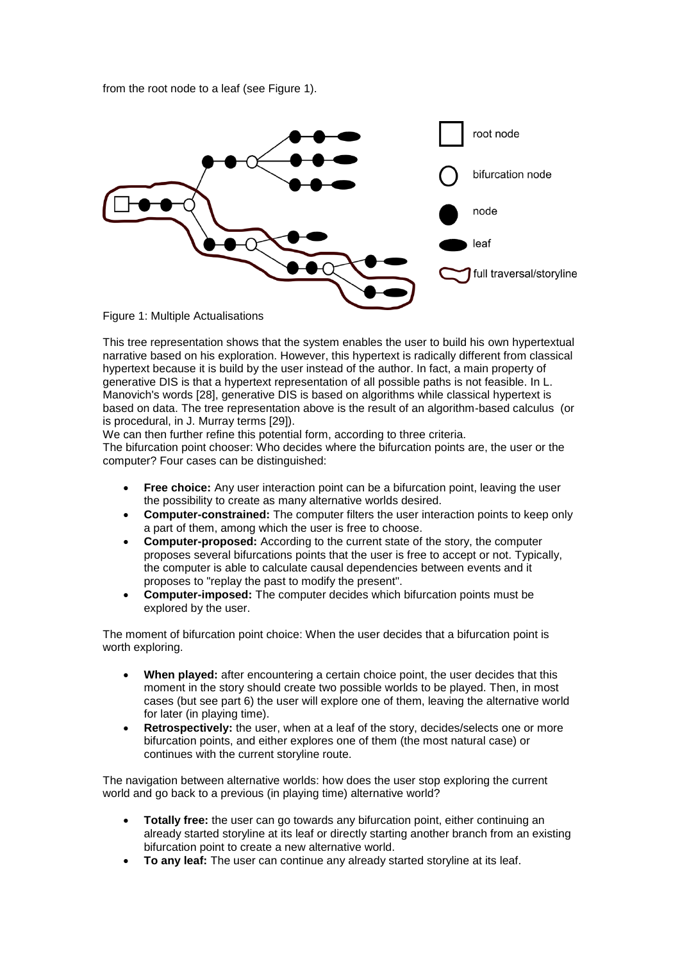from the root node to a leaf (see Figure 1).



Figure 1: Multiple Actualisations

This tree representation shows that the system enables the user to build his own hypertextual narrative based on his exploration. However, this hypertext is radically different from classical hypertext because it is build by the user instead of the author. In fact, a main property of generative DIS is that a hypertext representation of all possible paths is not feasible. In L. Manovich's words [28], generative DIS is based on algorithms while classical hypertext is based on data. The tree representation above is the result of an algorithm-based calculus (or is procedural, in J. Murray terms [29]).

We can then further refine this potential form, according to three criteria.

The bifurcation point chooser: Who decides where the bifurcation points are, the user or the computer? Four cases can be distinguished:

- **Free choice:** Any user interaction point can be a bifurcation point, leaving the user the possibility to create as many alternative worlds desired.
- **Computer-constrained:** The computer filters the user interaction points to keep only a part of them, among which the user is free to choose.
- **Computer-proposed:** According to the current state of the story, the computer proposes several bifurcations points that the user is free to accept or not. Typically, the computer is able to calculate causal dependencies between events and it proposes to "replay the past to modify the present".
- **Computer-imposed:** The computer decides which bifurcation points must be explored by the user.

The moment of bifurcation point choice: When the user decides that a bifurcation point is worth exploring.

- **When played:** after encountering a certain choice point, the user decides that this moment in the story should create two possible worlds to be played. Then, in most cases (but see part 6) the user will explore one of them, leaving the alternative world for later (in playing time).
- **Retrospectively:** the user, when at a leaf of the story, decides/selects one or more bifurcation points, and either explores one of them (the most natural case) or continues with the current storyline route.

The navigation between alternative worlds: how does the user stop exploring the current world and go back to a previous (in playing time) alternative world?

- **Totally free:** the user can go towards any bifurcation point, either continuing an already started storyline at its leaf or directly starting another branch from an existing bifurcation point to create a new alternative world.
- **To any leaf:** The user can continue any already started storyline at its leaf.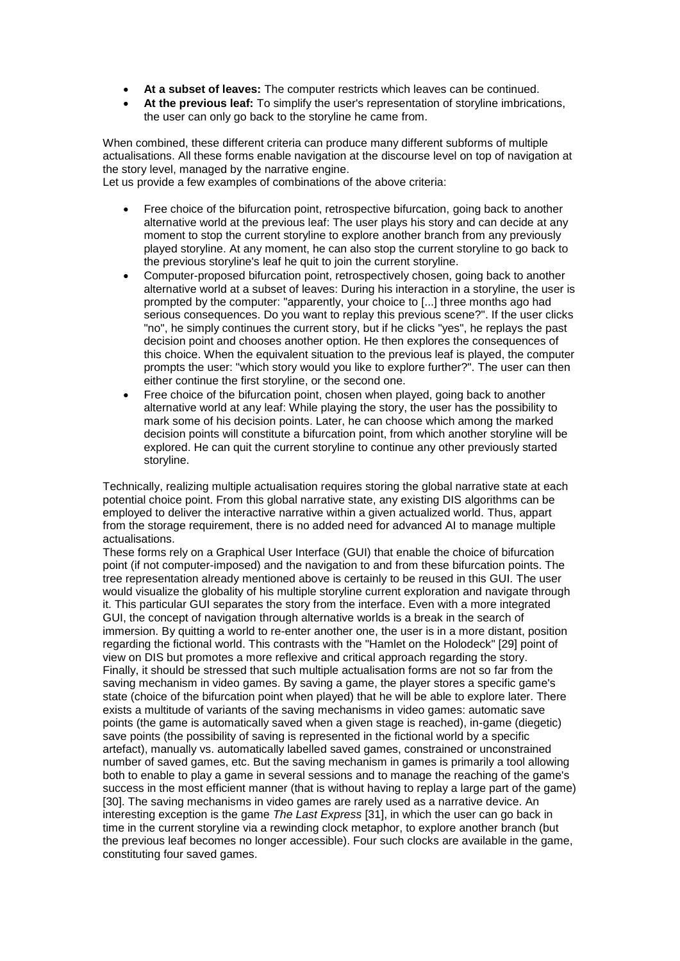- **At a subset of leaves:** The computer restricts which leaves can be continued.
- **At the previous leaf:** To simplify the user's representation of storyline imbrications, the user can only go back to the storyline he came from.

When combined, these different criteria can produce many different subforms of multiple actualisations. All these forms enable navigation at the discourse level on top of navigation at the story level, managed by the narrative engine.

Let us provide a few examples of combinations of the above criteria:

- Free choice of the bifurcation point, retrospective bifurcation, going back to another alternative world at the previous leaf: The user plays his story and can decide at any moment to stop the current storyline to explore another branch from any previously played storyline. At any moment, he can also stop the current storyline to go back to the previous storyline's leaf he quit to join the current storyline.
- Computer-proposed bifurcation point, retrospectively chosen, going back to another alternative world at a subset of leaves: During his interaction in a storyline, the user is prompted by the computer: "apparently, your choice to [...] three months ago had serious consequences. Do you want to replay this previous scene?". If the user clicks "no", he simply continues the current story, but if he clicks "yes", he replays the past decision point and chooses another option. He then explores the consequences of this choice. When the equivalent situation to the previous leaf is played, the computer prompts the user: "which story would you like to explore further?". The user can then either continue the first storyline, or the second one.
- Free choice of the bifurcation point, chosen when played, going back to another alternative world at any leaf: While playing the story, the user has the possibility to mark some of his decision points. Later, he can choose which among the marked decision points will constitute a bifurcation point, from which another storyline will be explored. He can quit the current storyline to continue any other previously started storyline.

Technically, realizing multiple actualisation requires storing the global narrative state at each potential choice point. From this global narrative state, any existing DIS algorithms can be employed to deliver the interactive narrative within a given actualized world. Thus, appart from the storage requirement, there is no added need for advanced AI to manage multiple actualisations.

These forms rely on a Graphical User Interface (GUI) that enable the choice of bifurcation point (if not computer-imposed) and the navigation to and from these bifurcation points. The tree representation already mentioned above is certainly to be reused in this GUI. The user would visualize the globality of his multiple storyline current exploration and navigate through it. This particular GUI separates the story from the interface. Even with a more integrated GUI, the concept of navigation through alternative worlds is a break in the search of immersion. By quitting a world to re-enter another one, the user is in a more distant, position regarding the fictional world. This contrasts with the "Hamlet on the Holodeck" [29] point of view on DIS but promotes a more reflexive and critical approach regarding the story. Finally, it should be stressed that such multiple actualisation forms are not so far from the saving mechanism in video games. By saving a game, the player stores a specific game's state (choice of the bifurcation point when played) that he will be able to explore later. There exists a multitude of variants of the saving mechanisms in video games: automatic save points (the game is automatically saved when a given stage is reached), in-game (diegetic) save points (the possibility of saving is represented in the fictional world by a specific artefact), manually vs. automatically labelled saved games, constrained or unconstrained number of saved games, etc. But the saving mechanism in games is primarily a tool allowing both to enable to play a game in several sessions and to manage the reaching of the game's success in the most efficient manner (that is without having to replay a large part of the game) [30]. The saving mechanisms in video games are rarely used as a narrative device. An interesting exception is the game *The Last Express* [31], in which the user can go back in time in the current storyline via a rewinding clock metaphor, to explore another branch (but the previous leaf becomes no longer accessible). Four such clocks are available in the game, constituting four saved games.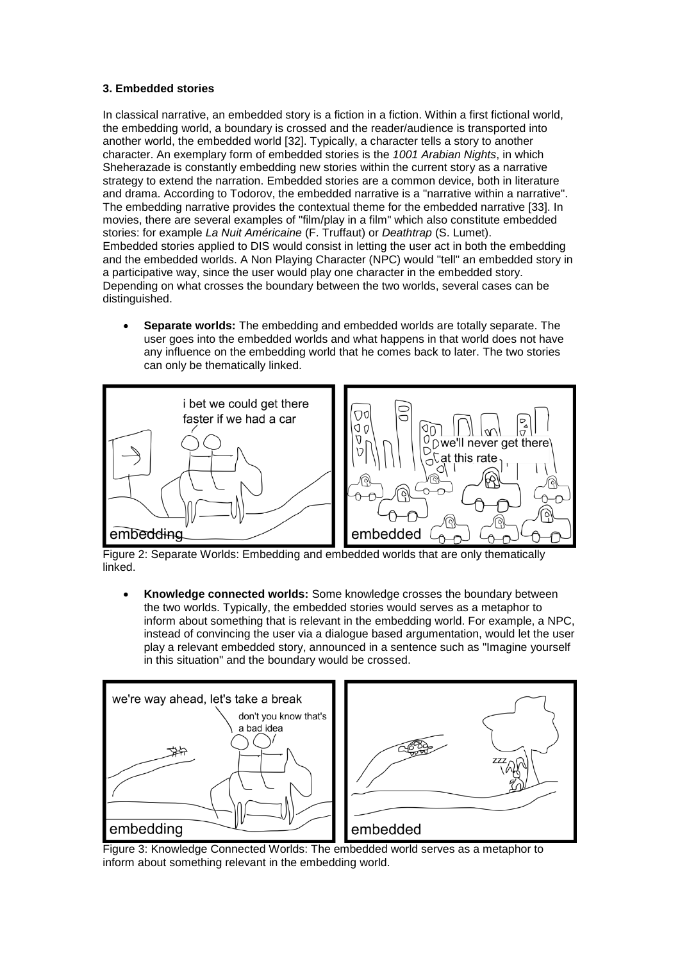# **3. Embedded stories**

In classical narrative, an embedded story is a fiction in a fiction. Within a first fictional world, the embedding world, a boundary is crossed and the reader/audience is transported into another world, the embedded world [32]. Typically, a character tells a story to another character. An exemplary form of embedded stories is the *1001 Arabian Nights*, in which Sheherazade is constantly embedding new stories within the current story as a narrative strategy to extend the narration. Embedded stories are a common device, both in literature and drama. According to Todorov, the embedded narrative is a "narrative within a narrative". The embedding narrative provides the contextual theme for the embedded narrative [33]. In movies, there are several examples of "film/play in a film" which also constitute embedded stories: for example *La Nuit Américaine* (F. Truffaut) or *Deathtrap* (S. Lumet). Embedded stories applied to DIS would consist in letting the user act in both the embedding and the embedded worlds. A Non Playing Character (NPC) would "tell" an embedded story in a participative way, since the user would play one character in the embedded story. Depending on what crosses the boundary between the two worlds, several cases can be distinguished.

 **Separate worlds:** The embedding and embedded worlds are totally separate. The user goes into the embedded worlds and what happens in that world does not have any influence on the embedding world that he comes back to later. The two stories can only be thematically linked.



Figure 2: Separate Worlds: Embedding and embedded worlds that are only thematically linked.

 **Knowledge connected worlds:** Some knowledge crosses the boundary between the two worlds. Typically, the embedded stories would serves as a metaphor to inform about something that is relevant in the embedding world. For example, a NPC, instead of convincing the user via a dialogue based argumentation, would let the user play a relevant embedded story, announced in a sentence such as "Imagine yourself in this situation" and the boundary would be crossed.



Figure 3: Knowledge Connected Worlds: The embedded world serves as a metaphor to inform about something relevant in the embedding world.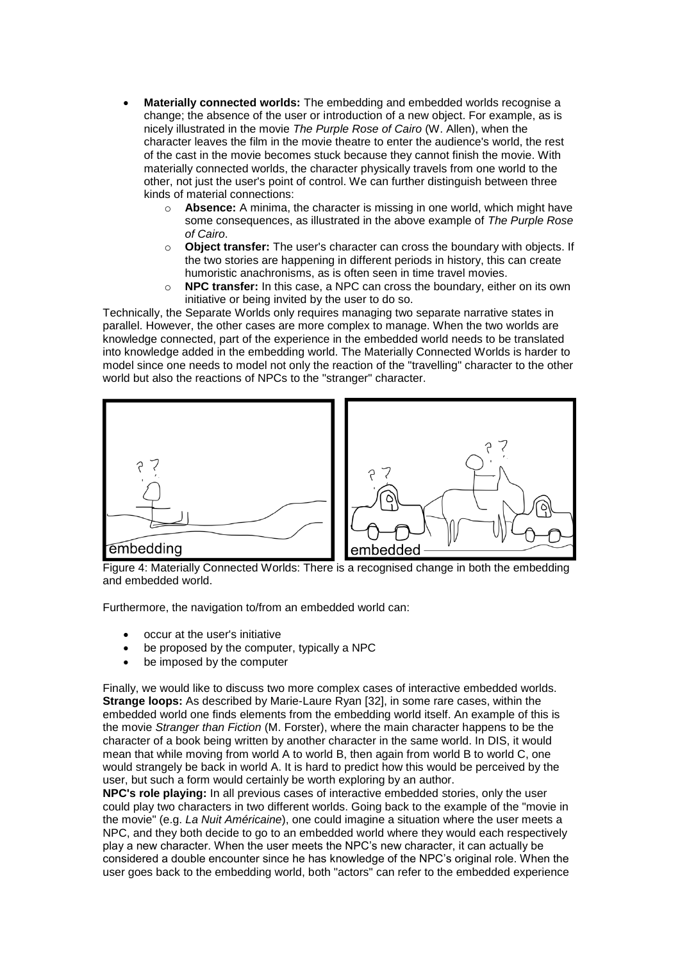- **Materially connected worlds:** The embedding and embedded worlds recognise a change; the absence of the user or introduction of a new object. For example, as is nicely illustrated in the movie *The Purple Rose of Cairo* (W. Allen), when the character leaves the film in the movie theatre to enter the audience's world, the rest of the cast in the movie becomes stuck because they cannot finish the movie. With materially connected worlds, the character physically travels from one world to the other, not just the user's point of control. We can further distinguish between three kinds of material connections:
	- o **Absence:** A minima, the character is missing in one world, which might have some consequences, as illustrated in the above example of *The Purple Rose of Cairo*.
	- o **Object transfer:** The user's character can cross the boundary with objects. If the two stories are happening in different periods in history, this can create humoristic anachronisms, as is often seen in time travel movies.
	- o **NPC transfer:** In this case, a NPC can cross the boundary, either on its own initiative or being invited by the user to do so.

Technically, the Separate Worlds only requires managing two separate narrative states in parallel. However, the other cases are more complex to manage. When the two worlds are knowledge connected, part of the experience in the embedded world needs to be translated into knowledge added in the embedding world. The Materially Connected Worlds is harder to model since one needs to model not only the reaction of the "travelling" character to the other world but also the reactions of NPCs to the "stranger" character.



Figure 4: Materially Connected Worlds: There is a recognised change in both the embedding and embedded world.

Furthermore, the navigation to/from an embedded world can:

- occur at the user's initiative
- be proposed by the computer, typically a NPC
- be imposed by the computer

Finally, we would like to discuss two more complex cases of interactive embedded worlds. **Strange loops:** As described by Marie-Laure Ryan [32], in some rare cases, within the embedded world one finds elements from the embedding world itself. An example of this is the movie *Stranger than Fiction* (M. Forster), where the main character happens to be the character of a book being written by another character in the same world. In DIS, it would mean that while moving from world A to world B, then again from world B to world C, one would strangely be back in world A. It is hard to predict how this would be perceived by the user, but such a form would certainly be worth exploring by an author.

**NPC's role playing:** In all previous cases of interactive embedded stories, only the user could play two characters in two different worlds. Going back to the example of the "movie in the movie" (e.g. *La Nuit Américaine*), one could imagine a situation where the user meets a NPC, and they both decide to go to an embedded world where they would each respectively play a new character. When the user meets the NPC's new character, it can actually be considered a double encounter since he has knowledge of the NPC's original role. When the user goes back to the embedding world, both "actors" can refer to the embedded experience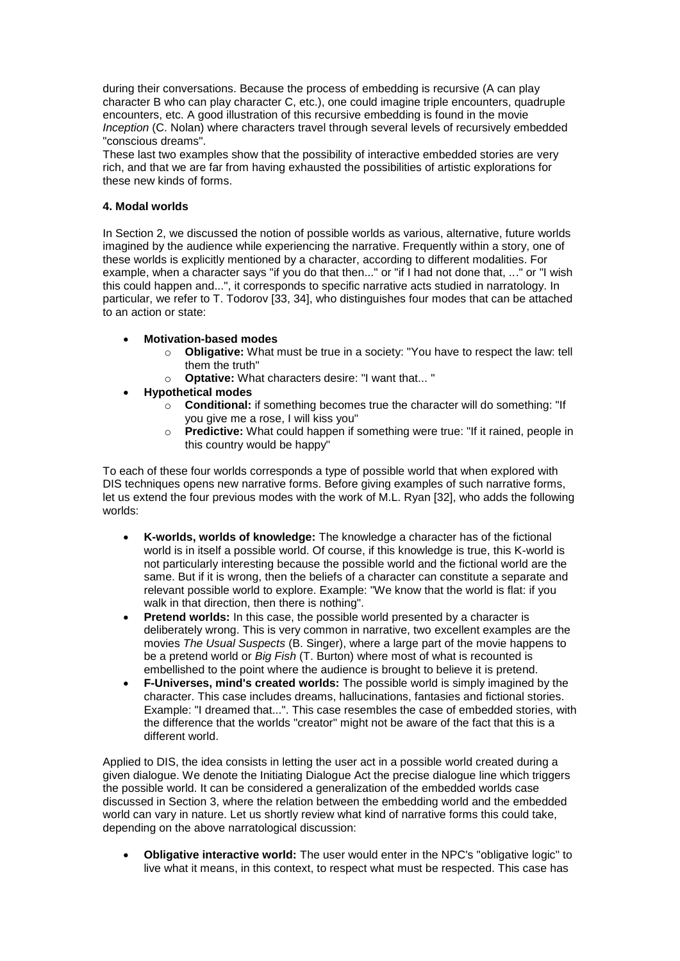during their conversations. Because the process of embedding is recursive (A can play character B who can play character C, etc.), one could imagine triple encounters, quadruple encounters, etc. A good illustration of this recursive embedding is found in the movie *Inception* (C. Nolan) where characters travel through several levels of recursively embedded "conscious dreams".

These last two examples show that the possibility of interactive embedded stories are very rich, and that we are far from having exhausted the possibilities of artistic explorations for these new kinds of forms.

## **4. Modal worlds**

In Section 2, we discussed the notion of possible worlds as various, alternative, future worlds imagined by the audience while experiencing the narrative. Frequently within a story, one of these worlds is explicitly mentioned by a character, according to different modalities. For example, when a character says "if you do that then..." or "if I had not done that, ..." or "I wish this could happen and...", it corresponds to specific narrative acts studied in narratology. In particular, we refer to T. Todorov [33, 34], who distinguishes four modes that can be attached to an action or state:

# **Motivation-based modes**

- o **Obligative:** What must be true in a society: "You have to respect the law: tell them the truth"
- o **Optative:** What characters desire: "I want that... "

# **Hypothetical modes**

- o **Conditional:** if something becomes true the character will do something: "If you give me a rose, I will kiss you"
- o **Predictive:** What could happen if something were true: "If it rained, people in this country would be happy"

To each of these four worlds corresponds a type of possible world that when explored with DIS techniques opens new narrative forms. Before giving examples of such narrative forms, let us extend the four previous modes with the work of M.L. Ryan [32], who adds the following worlds:

- **K-worlds, worlds of knowledge:** The knowledge a character has of the fictional world is in itself a possible world. Of course, if this knowledge is true, this K-world is not particularly interesting because the possible world and the fictional world are the same. But if it is wrong, then the beliefs of a character can constitute a separate and relevant possible world to explore. Example: "We know that the world is flat: if you walk in that direction, then there is nothing".
- **Pretend worlds:** In this case, the possible world presented by a character is deliberately wrong. This is very common in narrative, two excellent examples are the movies *The Usual Suspects* (B. Singer), where a large part of the movie happens to be a pretend world or *Big Fish* (T. Burton) where most of what is recounted is embellished to the point where the audience is brought to believe it is pretend.
- **F-Universes, mind's created worlds:** The possible world is simply imagined by the character. This case includes dreams, hallucinations, fantasies and fictional stories. Example: "I dreamed that...". This case resembles the case of embedded stories, with the difference that the worlds "creator" might not be aware of the fact that this is a different world.

Applied to DIS, the idea consists in letting the user act in a possible world created during a given dialogue. We denote the Initiating Dialogue Act the precise dialogue line which triggers the possible world. It can be considered a generalization of the embedded worlds case discussed in Section 3, where the relation between the embedding world and the embedded world can vary in nature. Let us shortly review what kind of narrative forms this could take, depending on the above narratological discussion:

 **Obligative interactive world:** The user would enter in the NPC's "obligative logic" to live what it means, in this context, to respect what must be respected. This case has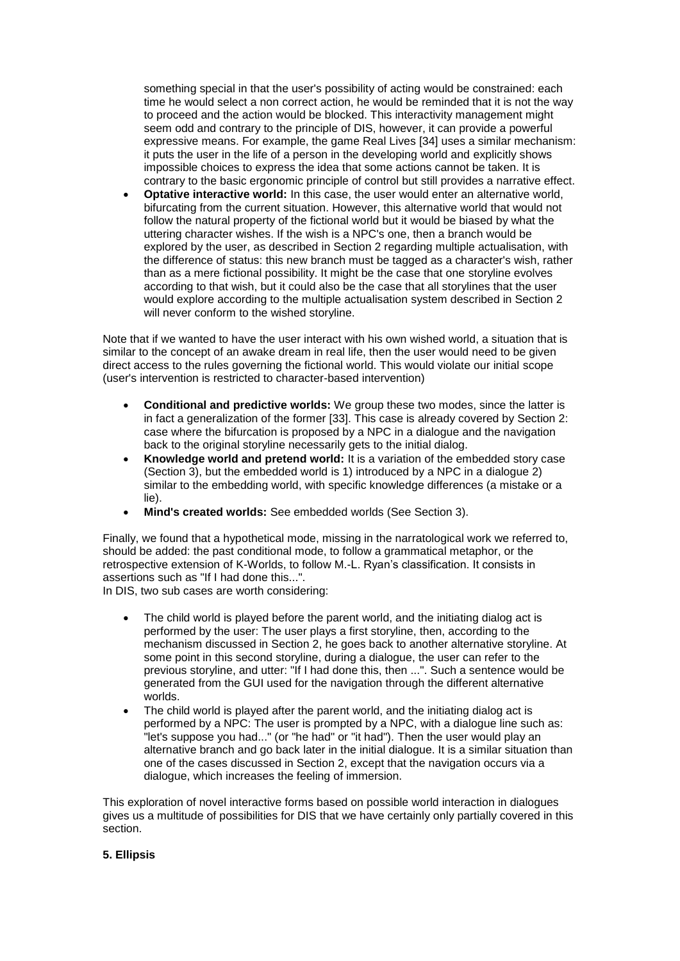something special in that the user's possibility of acting would be constrained: each time he would select a non correct action, he would be reminded that it is not the way to proceed and the action would be blocked. This interactivity management might seem odd and contrary to the principle of DIS, however, it can provide a powerful expressive means. For example, the game Real Lives [34] uses a similar mechanism: it puts the user in the life of a person in the developing world and explicitly shows impossible choices to express the idea that some actions cannot be taken. It is contrary to the basic ergonomic principle of control but still provides a narrative effect.

 **Optative interactive world:** In this case, the user would enter an alternative world, bifurcating from the current situation. However, this alternative world that would not follow the natural property of the fictional world but it would be biased by what the uttering character wishes. If the wish is a NPC's one, then a branch would be explored by the user, as described in Section 2 regarding multiple actualisation, with the difference of status: this new branch must be tagged as a character's wish, rather than as a mere fictional possibility. It might be the case that one storyline evolves according to that wish, but it could also be the case that all storylines that the user would explore according to the multiple actualisation system described in Section 2 will never conform to the wished storyline.

Note that if we wanted to have the user interact with his own wished world, a situation that is similar to the concept of an awake dream in real life, then the user would need to be given direct access to the rules governing the fictional world. This would violate our initial scope (user's intervention is restricted to character-based intervention)

- **Conditional and predictive worlds:** We group these two modes, since the latter is in fact a generalization of the former [33]. This case is already covered by Section 2: case where the bifurcation is proposed by a NPC in a dialogue and the navigation back to the original storyline necessarily gets to the initial dialog.
- **Knowledge world and pretend world:** It is a variation of the embedded story case (Section 3), but the embedded world is 1) introduced by a NPC in a dialogue 2) similar to the embedding world, with specific knowledge differences (a mistake or a lie).
- **Mind's created worlds:** See embedded worlds (See Section 3).

Finally, we found that a hypothetical mode, missing in the narratological work we referred to, should be added: the past conditional mode, to follow a grammatical metaphor, or the retrospective extension of K-Worlds, to follow M.-L. Ryan's classification. It consists in assertions such as "If I had done this...".

In DIS, two sub cases are worth considering:

- The child world is played before the parent world, and the initiating dialog act is performed by the user: The user plays a first storyline, then, according to the mechanism discussed in Section 2, he goes back to another alternative storyline. At some point in this second storyline, during a dialogue, the user can refer to the previous storyline, and utter: "If I had done this, then ...". Such a sentence would be generated from the GUI used for the navigation through the different alternative worlds.
- The child world is played after the parent world, and the initiating dialog act is performed by a NPC: The user is prompted by a NPC, with a dialogue line such as: "let's suppose you had..." (or "he had" or "it had"). Then the user would play an alternative branch and go back later in the initial dialogue. It is a similar situation than one of the cases discussed in Section 2, except that the navigation occurs via a dialogue, which increases the feeling of immersion.

This exploration of novel interactive forms based on possible world interaction in dialogues gives us a multitude of possibilities for DIS that we have certainly only partially covered in this section.

## **5. Ellipsis**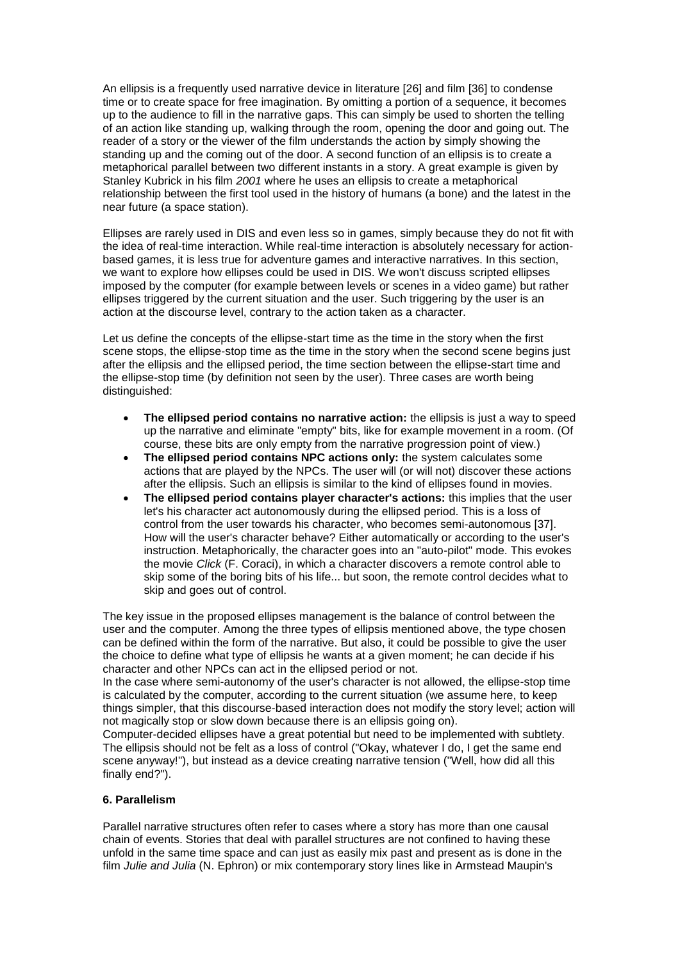An ellipsis is a frequently used narrative device in literature [26] and film [36] to condense time or to create space for free imagination. By omitting a portion of a sequence, it becomes up to the audience to fill in the narrative gaps. This can simply be used to shorten the telling of an action like standing up, walking through the room, opening the door and going out. The reader of a story or the viewer of the film understands the action by simply showing the standing up and the coming out of the door. A second function of an ellipsis is to create a metaphorical parallel between two different instants in a story. A great example is given by Stanley Kubrick in his film *2001* where he uses an ellipsis to create a metaphorical relationship between the first tool used in the history of humans (a bone) and the latest in the near future (a space station).

Ellipses are rarely used in DIS and even less so in games, simply because they do not fit with the idea of real-time interaction. While real-time interaction is absolutely necessary for actionbased games, it is less true for adventure games and interactive narratives. In this section, we want to explore how ellipses could be used in DIS. We won't discuss scripted ellipses imposed by the computer (for example between levels or scenes in a video game) but rather ellipses triggered by the current situation and the user. Such triggering by the user is an action at the discourse level, contrary to the action taken as a character.

Let us define the concepts of the ellipse-start time as the time in the story when the first scene stops, the ellipse-stop time as the time in the story when the second scene begins just after the ellipsis and the ellipsed period, the time section between the ellipse-start time and the ellipse-stop time (by definition not seen by the user). Three cases are worth being distinguished:

- **The ellipsed period contains no narrative action:** the ellipsis is just a way to speed up the narrative and eliminate "empty" bits, like for example movement in a room. (Of course, these bits are only empty from the narrative progression point of view.)
- **The ellipsed period contains NPC actions only:** the system calculates some actions that are played by the NPCs. The user will (or will not) discover these actions after the ellipsis. Such an ellipsis is similar to the kind of ellipses found in movies.
- **The ellipsed period contains player character's actions:** this implies that the user let's his character act autonomously during the ellipsed period. This is a loss of control from the user towards his character, who becomes semi-autonomous [37]. How will the user's character behave? Either automatically or according to the user's instruction. Metaphorically, the character goes into an "auto-pilot" mode. This evokes the movie *Click* (F. Coraci), in which a character discovers a remote control able to skip some of the boring bits of his life... but soon, the remote control decides what to skip and goes out of control.

The key issue in the proposed ellipses management is the balance of control between the user and the computer. Among the three types of ellipsis mentioned above, the type chosen can be defined within the form of the narrative. But also, it could be possible to give the user the choice to define what type of ellipsis he wants at a given moment; he can decide if his character and other NPCs can act in the ellipsed period or not.

In the case where semi-autonomy of the user's character is not allowed, the ellipse-stop time is calculated by the computer, according to the current situation (we assume here, to keep things simpler, that this discourse-based interaction does not modify the story level; action will not magically stop or slow down because there is an ellipsis going on).

Computer-decided ellipses have a great potential but need to be implemented with subtlety. The ellipsis should not be felt as a loss of control ("Okay, whatever I do, I get the same end scene anyway!"), but instead as a device creating narrative tension ("Well, how did all this finally end?").

## **6. Parallelism**

Parallel narrative structures often refer to cases where a story has more than one causal chain of events. Stories that deal with parallel structures are not confined to having these unfold in the same time space and can just as easily mix past and present as is done in the film *Julie and Julia* (N. Ephron) or mix contemporary story lines like in Armstead Maupin's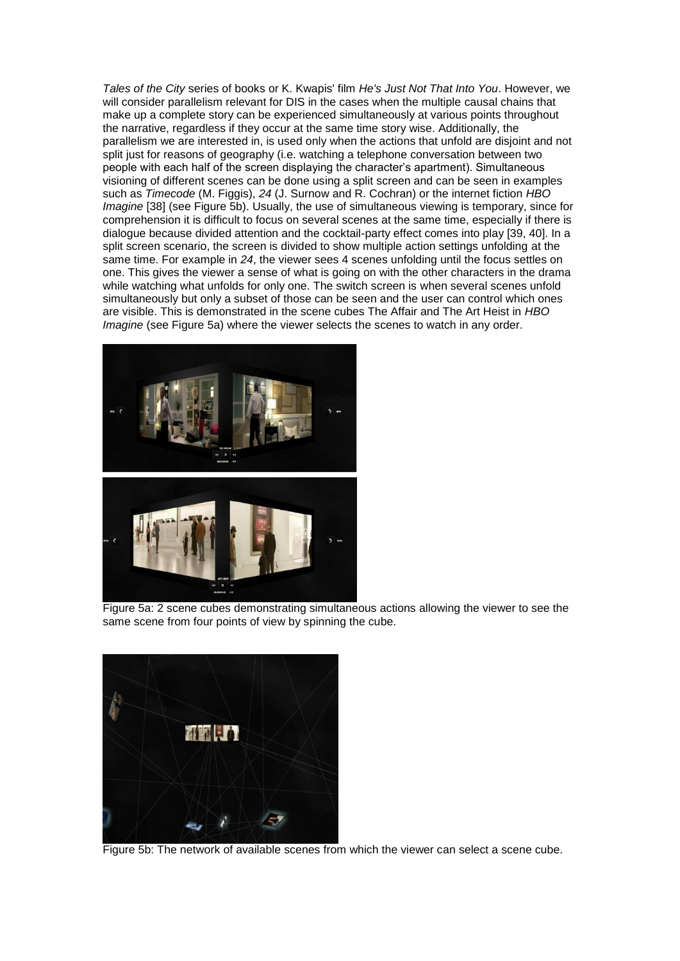*Tales of the City* series of books or K. Kwapis' film *He's Just Not That Into You*. However, we will consider parallelism relevant for DIS in the cases when the multiple causal chains that make up a complete story can be experienced simultaneously at various points throughout the narrative, regardless if they occur at the same time story wise. Additionally, the parallelism we are interested in, is used only when the actions that unfold are disjoint and not split just for reasons of geography (i.e. watching a telephone conversation between two people with each half of the screen displaying the character's apartment). Simultaneous visioning of different scenes can be done using a split screen and can be seen in examples such as *Timecode* (M. Figgis), *24* (J. Surnow and R. Cochran) or the internet fiction *HBO Imagine* [38] (see Figure 5b). Usually, the use of simultaneous viewing is temporary, since for comprehension it is difficult to focus on several scenes at the same time, especially if there is dialogue because divided attention and the cocktail-party effect comes into play [39, 40]. In a split screen scenario, the screen is divided to show multiple action settings unfolding at the same time. For example in *24*, the viewer sees 4 scenes unfolding until the focus settles on one. This gives the viewer a sense of what is going on with the other characters in the drama while watching what unfolds for only one. The switch screen is when several scenes unfold simultaneously but only a subset of those can be seen and the user can control which ones are visible. This is demonstrated in the scene cubes The Affair and The Art Heist in *HBO Imagine* (see Figure 5a) where the viewer selects the scenes to watch in any order.



Figure 5a: 2 scene cubes demonstrating simultaneous actions allowing the viewer to see the same scene from four points of view by spinning the cube.



Figure 5b: The network of available scenes from which the viewer can select a scene cube.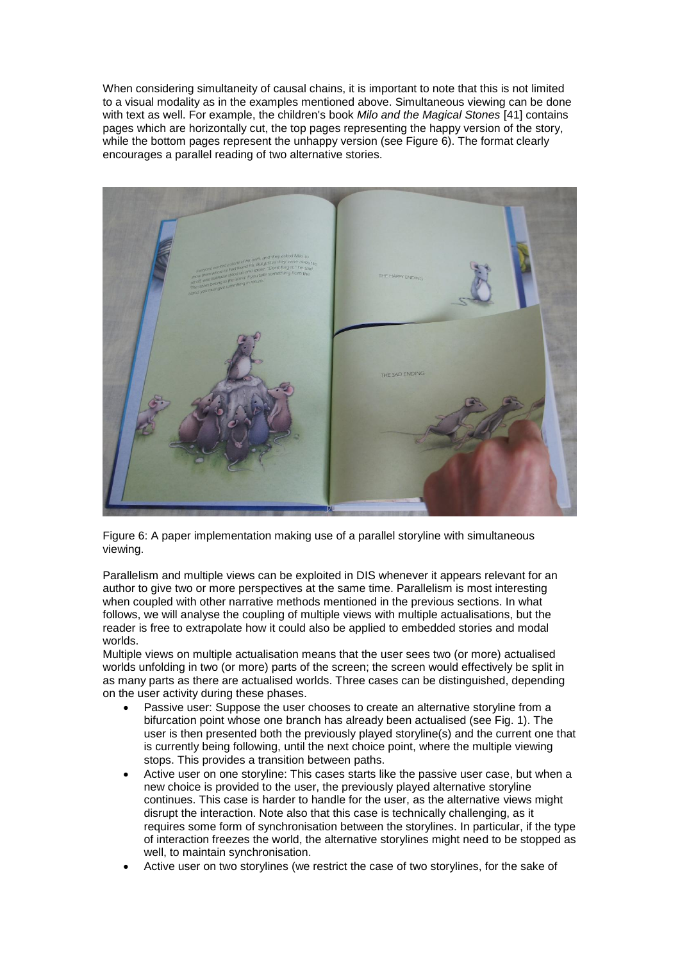When considering simultaneity of causal chains, it is important to note that this is not limited to a visual modality as in the examples mentioned above. Simultaneous viewing can be done with text as well. For example, the children's book *Milo and the Magical Stones* [41] contains pages which are horizontally cut, the top pages representing the happy version of the story, while the bottom pages represent the unhappy version (see Figure 6). The format clearly encourages a parallel reading of two alternative stories.



Figure 6: A paper implementation making use of a parallel storyline with simultaneous viewing.

Parallelism and multiple views can be exploited in DIS whenever it appears relevant for an author to give two or more perspectives at the same time. Parallelism is most interesting when coupled with other narrative methods mentioned in the previous sections. In what follows, we will analyse the coupling of multiple views with multiple actualisations, but the reader is free to extrapolate how it could also be applied to embedded stories and modal worlds.

Multiple views on multiple actualisation means that the user sees two (or more) actualised worlds unfolding in two (or more) parts of the screen; the screen would effectively be split in as many parts as there are actualised worlds. Three cases can be distinguished, depending on the user activity during these phases.

- Passive user: Suppose the user chooses to create an alternative storyline from a bifurcation point whose one branch has already been actualised (see Fig. 1). The user is then presented both the previously played storyline(s) and the current one that is currently being following, until the next choice point, where the multiple viewing stops. This provides a transition between paths.
- Active user on one storyline: This cases starts like the passive user case, but when a new choice is provided to the user, the previously played alternative storyline continues. This case is harder to handle for the user, as the alternative views might disrupt the interaction. Note also that this case is technically challenging, as it requires some form of synchronisation between the storylines. In particular, if the type of interaction freezes the world, the alternative storylines might need to be stopped as well, to maintain synchronisation.
- Active user on two storylines (we restrict the case of two storylines, for the sake of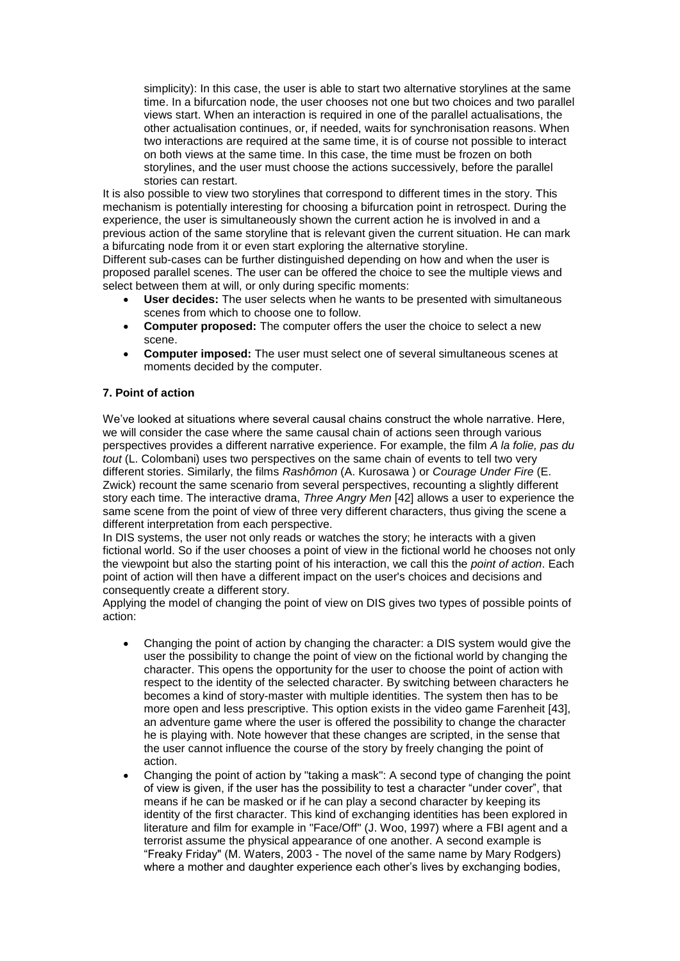simplicity): In this case, the user is able to start two alternative storylines at the same time. In a bifurcation node, the user chooses not one but two choices and two parallel views start. When an interaction is required in one of the parallel actualisations, the other actualisation continues, or, if needed, waits for synchronisation reasons. When two interactions are required at the same time, it is of course not possible to interact on both views at the same time. In this case, the time must be frozen on both storylines, and the user must choose the actions successively, before the parallel stories can restart.

It is also possible to view two storylines that correspond to different times in the story. This mechanism is potentially interesting for choosing a bifurcation point in retrospect. During the experience, the user is simultaneously shown the current action he is involved in and a previous action of the same storyline that is relevant given the current situation. He can mark a bifurcating node from it or even start exploring the alternative storyline.

Different sub-cases can be further distinguished depending on how and when the user is proposed parallel scenes. The user can be offered the choice to see the multiple views and select between them at will, or only during specific moments:

- **User decides:** The user selects when he wants to be presented with simultaneous scenes from which to choose one to follow.
- **Computer proposed:** The computer offers the user the choice to select a new scene.
- **Computer imposed:** The user must select one of several simultaneous scenes at moments decided by the computer.

### **7. Point of action**

We've looked at situations where several causal chains construct the whole narrative. Here, we will consider the case where the same causal chain of actions seen through various perspectives provides a different narrative experience. For example, the film *A la folie, pas du tout* (L. Colombani) uses two perspectives on the same chain of events to tell two very different stories. Similarly, the films *Rashômon* (A. Kurosawa ) or *Courage Under Fire* (E. Zwick) recount the same scenario from several perspectives, recounting a slightly different story each time. The interactive drama, *Three Angry Men* [42] allows a user to experience the same scene from the point of view of three very different characters, thus giving the scene a different interpretation from each perspective.

In DIS systems, the user not only reads or watches the story; he interacts with a given fictional world. So if the user chooses a point of view in the fictional world he chooses not only the viewpoint but also the starting point of his interaction, we call this the *point of action*. Each point of action will then have a different impact on the user's choices and decisions and consequently create a different story.

Applying the model of changing the point of view on DIS gives two types of possible points of action:

- Changing the point of action by changing the character: a DIS system would give the user the possibility to change the point of view on the fictional world by changing the character. This opens the opportunity for the user to choose the point of action with respect to the identity of the selected character. By switching between characters he becomes a kind of story-master with multiple identities. The system then has to be more open and less prescriptive. This option exists in the video game Farenheit [43], an adventure game where the user is offered the possibility to change the character he is playing with. Note however that these changes are scripted, in the sense that the user cannot influence the course of the story by freely changing the point of action.
- Changing the point of action by "taking a mask": A second type of changing the point of view is given, if the user has the possibility to test a character "under cover", that means if he can be masked or if he can play a second character by keeping its identity of the first character. This kind of exchanging identities has been explored in literature and film for example in "Face/Off" (J. Woo, 1997) where a FBI agent and a terrorist assume the physical appearance of one another. A second example is "Freaky Friday" (M. Waters, 2003 - The novel of the same name by Mary Rodgers) where a mother and daughter experience each other's lives by exchanging bodies,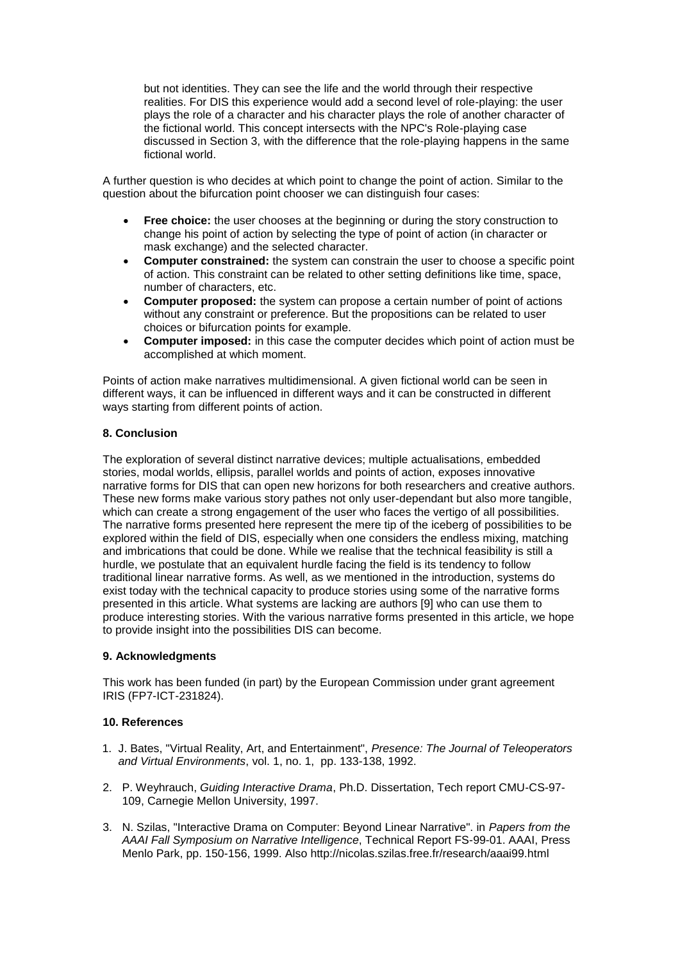but not identities. They can see the life and the world through their respective realities. For DIS this experience would add a second level of role-playing: the user plays the role of a character and his character plays the role of another character of the fictional world. This concept intersects with the NPC's Role-playing case discussed in Section 3, with the difference that the role-playing happens in the same fictional world.

A further question is who decides at which point to change the point of action. Similar to the question about the bifurcation point chooser we can distinguish four cases:

- **Free choice:** the user chooses at the beginning or during the story construction to change his point of action by selecting the type of point of action (in character or mask exchange) and the selected character.
- **Computer constrained:** the system can constrain the user to choose a specific point of action. This constraint can be related to other setting definitions like time, space, number of characters, etc.
- **Computer proposed:** the system can propose a certain number of point of actions without any constraint or preference. But the propositions can be related to user choices or bifurcation points for example.
- **Computer imposed:** in this case the computer decides which point of action must be accomplished at which moment.

Points of action make narratives multidimensional. A given fictional world can be seen in different ways, it can be influenced in different ways and it can be constructed in different ways starting from different points of action.

## **8. Conclusion**

The exploration of several distinct narrative devices; multiple actualisations, embedded stories, modal worlds, ellipsis, parallel worlds and points of action, exposes innovative narrative forms for DIS that can open new horizons for both researchers and creative authors. These new forms make various story pathes not only user-dependant but also more tangible, which can create a strong engagement of the user who faces the vertigo of all possibilities. The narrative forms presented here represent the mere tip of the iceberg of possibilities to be explored within the field of DIS, especially when one considers the endless mixing, matching and imbrications that could be done. While we realise that the technical feasibility is still a hurdle, we postulate that an equivalent hurdle facing the field is its tendency to follow traditional linear narrative forms. As well, as we mentioned in the introduction, systems do exist today with the technical capacity to produce stories using some of the narrative forms presented in this article. What systems are lacking are authors [9] who can use them to produce interesting stories. With the various narrative forms presented in this article, we hope to provide insight into the possibilities DIS can become.

#### **9. Acknowledgments**

This work has been funded (in part) by the European Commission under grant agreement IRIS (FP7-ICT-231824).

### **10. References**

- 1. J. Bates, "Virtual Reality, Art, and Entertainment", *Presence: The Journal of Teleoperators and Virtual Environments*, vol. 1, no. 1, pp. 133-138, 1992.
- 2. P. Weyhrauch, *Guiding Interactive Drama*, Ph.D. Dissertation, Tech report CMU-CS-97- 109, Carnegie Mellon University, 1997.
- 3. N. Szilas, "Interactive Drama on Computer: Beyond Linear Narrative". in *Papers from the AAAI Fall Symposium on Narrative Intelligence*, Technical Report FS-99-01. AAAI, Press Menlo Park, pp. 150-156, 1999. Also http://nicolas.szilas.free.fr/research/aaai99.html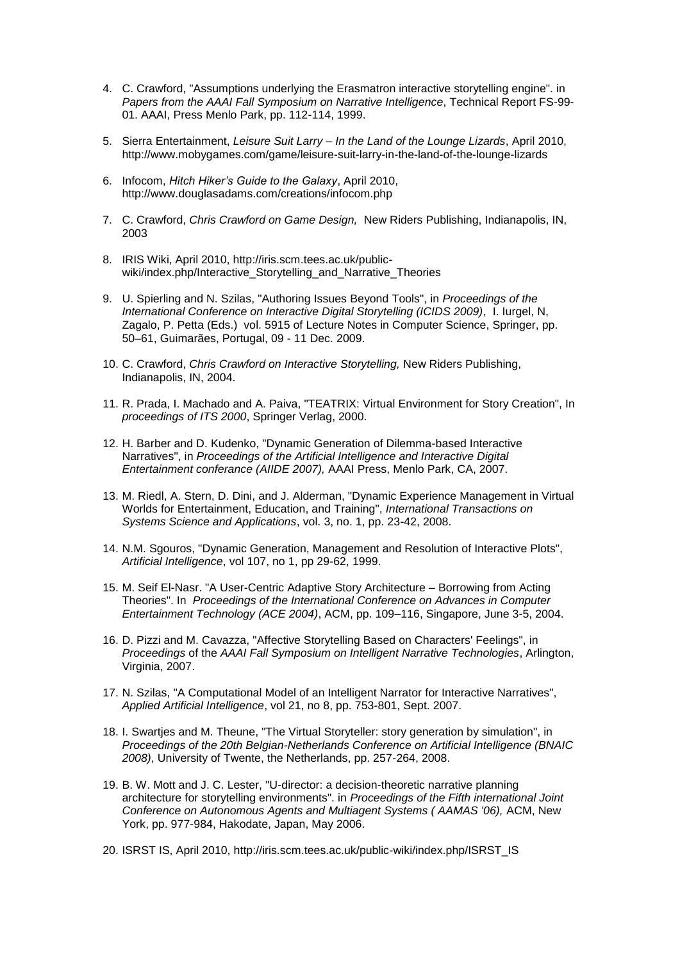- 4. C. Crawford, "Assumptions underlying the Erasmatron interactive storytelling engine". in *Papers from the AAAI Fall Symposium on Narrative Intelligence*, Technical Report FS-99- 01. AAAI, Press Menlo Park, pp. 112-114, 1999.
- 5. Sierra Entertainment, *Leisure Suit Larry – In the Land of the Lounge Lizards*, April 2010, http://www.mobygames.com/game/leisure-suit-larry-in-the-land-of-the-lounge-lizards
- 6. Infocom, *Hitch Hiker's Guide to the Galaxy*, April 2010, http://www.douglasadams.com/creations/infocom.php
- 7. C. Crawford, *Chris Crawford on Game Design,* New Riders Publishing, Indianapolis, IN, 2003
- 8. IRIS Wiki, April 2010, http://iris.scm.tees.ac.uk/publicwiki/index.php/Interactive\_Storytelling\_and\_Narrative\_Theories
- 9. U. Spierling and N. Szilas, "Authoring Issues Beyond Tools", in *Proceedings of the International Conference on Interactive Digital Storytelling (ICIDS 2009)*, I. Iurgel, N, Zagalo, P. Petta (Eds.) vol. 5915 of Lecture Notes in Computer Science, Springer, pp. 50–61, Guimarães, Portugal, 09 - 11 Dec. 2009.
- 10. C. Crawford, *Chris Crawford on Interactive Storytelling,* New Riders Publishing, Indianapolis, IN, 2004.
- 11. R. Prada, I. Machado and A. Paiva, "TEATRIX: Virtual Environment for Story Creation", In *proceedings of ITS 2000*, Springer Verlag, 2000.
- 12. H. Barber and D. Kudenko, "Dynamic Generation of Dilemma-based Interactive Narratives", in *Proceedings of the Artificial Intelligence and Interactive Digital Entertainment conferance (AIIDE 2007),* AAAI Press, Menlo Park, CA, 2007.
- 13. M. Riedl, A. Stern, D. Dini, and J. Alderman, "Dynamic Experience Management in Virtual Worlds for Entertainment, Education, and Training", *International Transactions on Systems Science and Applications*, vol. 3, no. 1, pp. 23-42, 2008.
- 14. N.M. Sgouros, "Dynamic Generation, Management and Resolution of Interactive Plots", *Artificial Intelligence*, vol 107, no 1, pp 29-62, 1999.
- 15. M. Seif El-Nasr. "A User-Centric Adaptive Story Architecture Borrowing from Acting Theories". In *Proceedings of the International Conference on Advances in Computer Entertainment Technology (ACE 2004)*, ACM, pp. 109–116, Singapore, June 3-5, 2004.
- 16. D. Pizzi and M. Cavazza, "Affective Storytelling Based on Characters' Feelings", in *Proceedings* of the *AAAI Fall Symposium on Intelligent Narrative Technologies*, Arlington, Virginia, 2007.
- 17. N. Szilas, "A Computational Model of an Intelligent Narrator for Interactive Narratives", *Applied Artificial Intelligence*, vol 21, no 8, pp. 753-801, Sept. 2007.
- 18. I. Swartjes and M. Theune, "The Virtual Storyteller: story generation by simulation", in *Proceedings of the 20th Belgian-Netherlands Conference on Artificial Intelligence (BNAIC 2008)*, University of Twente, the Netherlands, pp. 257-264, 2008.
- 19. B. W. Mott and J. C. Lester, "U-director: a decision-theoretic narrative planning architecture for storytelling environments". in *Proceedings of the Fifth international Joint Conference on Autonomous Agents and Multiagent Systems ( AAMAS '06),* ACM, New York, pp. 977-984, Hakodate, Japan, May 2006.
- 20. ISRST IS, April 2010, http://iris.scm.tees.ac.uk/public-wiki/index.php/ISRST\_IS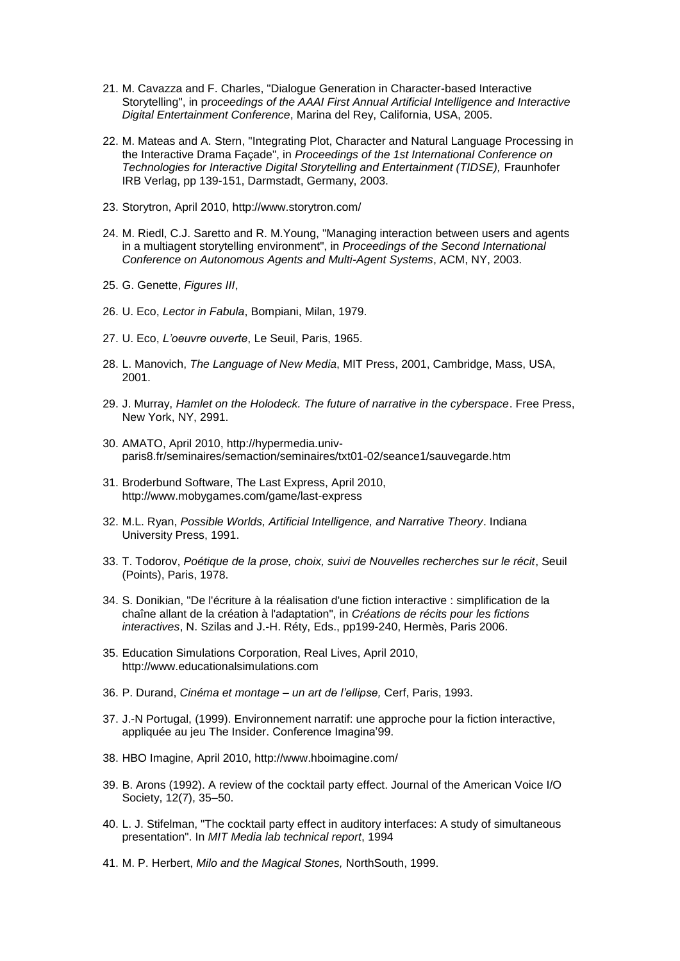- 21. M. Cavazza and F. Charles, "Dialogue Generation in Character-based Interactive Storytelling", in p*roceedings of the AAAI First Annual Artificial Intelligence and Interactive Digital Entertainment Conference*, Marina del Rey, California, USA, 2005.
- 22. M. Mateas and A. Stern, "Integrating Plot, Character and Natural Language Processing in the Interactive Drama Façade", in *Proceedings of the 1st International Conference on Technologies for Interactive Digital Storytelling and Entertainment (TIDSE),* Fraunhofer IRB Verlag, pp 139-151, Darmstadt, Germany, 2003.
- 23. Storytron, April 2010, http://www.storytron.com/
- 24. M. Riedl, C.J. Saretto and R. M.Young, "Managing interaction between users and agents in a multiagent storytelling environment", in *Proceedings of the Second International Conference on Autonomous Agents and Multi-Agent Systems*, ACM, NY, 2003.
- 25. G. Genette, *Figures III*,
- 26. U. Eco, *Lector in Fabula*, Bompiani, Milan, 1979.
- 27. U. Eco, *L'oeuvre ouverte*, Le Seuil, Paris, 1965.
- 28. L. Manovich, *The Language of New Media*, MIT Press, 2001, Cambridge, Mass, USA, 2001.
- 29. J. Murray, *Hamlet on the Holodeck. The future of narrative in the cyberspace*. Free Press, New York, NY, 2991.
- 30. AMATO, April 2010, http://hypermedia.univparis8.fr/seminaires/semaction/seminaires/txt01-02/seance1/sauvegarde.htm
- 31. Broderbund Software, The Last Express, April 2010, http://www.mobygames.com/game/last-express
- 32. M.L. Ryan, *Possible Worlds, Artificial Intelligence, and Narrative Theory*. Indiana University Press, 1991.
- 33. T. Todorov, *Poétique de la prose, choix, suivi de Nouvelles recherches sur le récit*, Seuil (Points), Paris, 1978.
- 34. S. Donikian, "De l'écriture à la réalisation d'une fiction interactive : simplification de la chaîne allant de la création à l'adaptation", in *Créations de récits pour les fictions interactives*, N. Szilas and J.-H. Réty, Eds., pp199-240, Hermès, Paris 2006.
- 35. Education Simulations Corporation, Real Lives, April 2010, http://www.educationalsimulations.com
- 36. P. Durand, *Cinéma et montage – un art de l'ellipse,* Cerf, Paris, 1993.
- 37. J.-N Portugal, (1999). Environnement narratif: une approche pour la fiction interactive, appliquée au jeu The Insider. Conference Imagina'99.
- 38. HBO Imagine, April 2010, http://www.hboimagine.com/
- 39. B. Arons (1992). A review of the cocktail party effect. Journal of the American Voice I/O Society, 12(7), 35–50.
- 40. L. J. Stifelman, "The cocktail party effect in auditory interfaces: A study of simultaneous presentation". In *MIT Media lab technical report*, 1994
- 41. M. P. Herbert, *Milo and the Magical Stones,* NorthSouth, 1999.